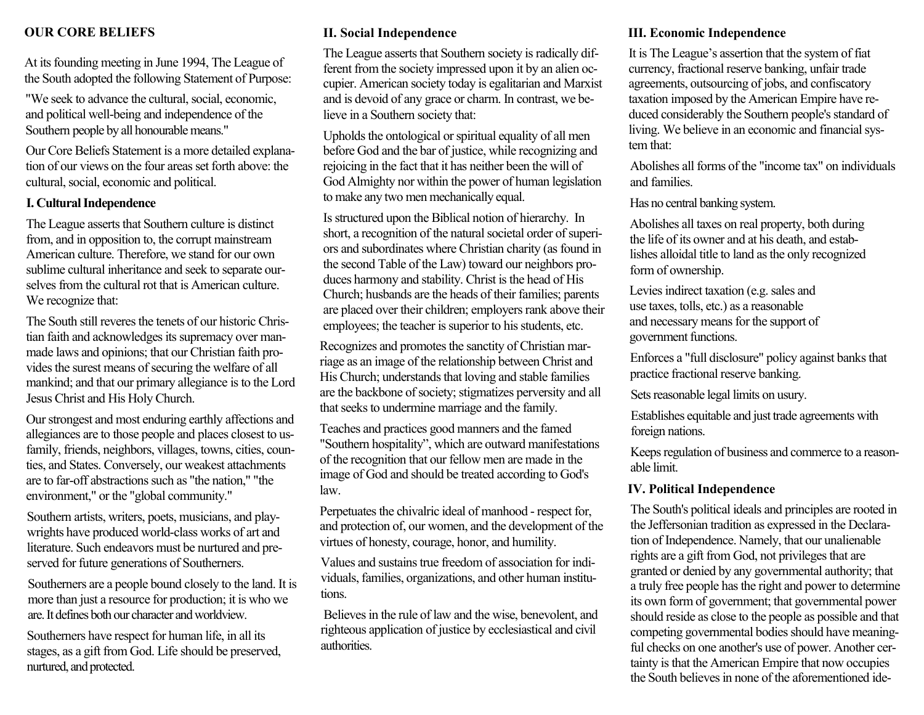### **OUR CORE BELIEFS**

At its founding meeting in June 1994, The League of the South adopted the following Statement of Purpose:

"We seek to advance the cultural, social, economic, and political well-being and independence of the Southern people by all honourable means."

Our Core Beliefs Statement is a more detailed explanation of our views on the four areas set forth above: the cultural, social, economic and political.

#### **I. Cultural Independence**

The League asserts that Southern culture is distinct from, and in opposition to, the corrupt mainstream American culture. Therefore, we stand for our own sublime cultural inheritance and seek to separate ourselves from the cultural rot that is American culture. We recognize that:

The South still reveres the tenets of our historic Christian faith and acknowledges its supremacy over manmade laws and opinions; that our Christian faith provides the surest means of securing the welfare of all mankind; and that our primary allegiance is to the Lord Jesus Christ and His Holy Church.

Our strongest and most enduring earthly affections and allegiances are to those people and places closest to usfamily, friends, neighbors, villages, towns, cities, counties, and States. Conversely, our weakest attachments are to far-off abstractions such as "the nation," "the environment," or the "global community."

Southern artists, writers, poets, musicians, and playwrights have produced world-class works of art and literature. Such endeavors must be nurtured and preserved for future generations of Southerners.

Southerners are a people bound closely to the land. It is more than just a resource for production; it is who we are. It defines both our character and worldview.

Southerners have respect for human life, in all its stages, as a gift from God. Life should be preserved, nurtured, and protected.

## **II. Social Independence**

The League asserts that Southern society is radically different from the society impressed upon it by an alien occupier. American society today is egalitarian and Marxist and is devoid of any grace or charm. In contrast, we believe in a Southern society that:

Upholds the ontological or spiritual equality of all men before God and the bar of justice, while recognizing and rejoicing in the fact that it has neither been the will of God Almighty nor within the power of human legislation to make any two men mechanically equal.

Is structured upon the Biblical notion of hierarchy. In short, a recognition of the natural societal order of superiors and subordinates where Christian charity (as found in the second Table of the Law) toward our neighbors produces harmony and stability. Christ is the head of His Church; husbands are the heads of their families; parents are placed over their children; employers rank above their employees; the teacher is superior to his students, etc.

Recognizes and promotes the sanctity of Christian marriage as an image of the relationship between Christ and His Church; understands that loving and stable families are the backbone of society; stigmatizes perversity and all that seeks to undermine marriage and the family.

Teaches and practices good manners and the famed "Southern hospitality", which are outward manifestations of the recognition that our fellow men are made in the image of God and should be treated according to God's law.

Perpetuates the chivalric ideal of manhood - respect for, and protection of, our women, and the development of the virtues of honesty, courage, honor, and humility.

Values and sustains true freedom of association for individuals, families, organizations, and other human institutions.

Believes in the rule of law and the wise, benevolent, and righteous application of justice by ecclesiastical and civil authorities.

#### **III. Economic Independence**

It is The League's assertion that the system of fiat currency, fractional reserve banking, unfair trade agreements, outsourcing of jobs, and confiscatory taxation imposed by the American Empire have reduced considerably the Southern people's standard of living. We believe in an economic and financial system that:

Abolishes all forms of the "income tax" on individuals and families.

Has no central banking system.

Abolishes all taxes on real property, both during the life of its owner and at his death, and establishes alloidal title to land as the only recognized form of ownership.

Levies indirect taxation (e.g. sales and use taxes, tolls, etc.) as a reasonable and necessary means for the support of government functions.

Enforces a "full disclosure" policy against banks that practice fractional reserve banking.

Sets reasonable legal limits on usury.

Establishes equitable and just trade agreements with foreign nations.

Keeps regulation of business and commerce to a reasonable limit.

#### **IV. Political Independence**

The South's political ideals and principles are rooted in the Jeffersonian tradition as expressed in the Declaration of Independence. Namely, that our unalienable rights are a gift from God, not privileges that are granted or denied by any governmental authority; that a truly free people has the right and power to determine its own form of government; that governmental power should reside as close to the people as possible and that competing governmental bodies should have meaningful checks on one another's use of power. Another certainty is that the American Empire that now occupies the South believes in none of the aforementioned ide